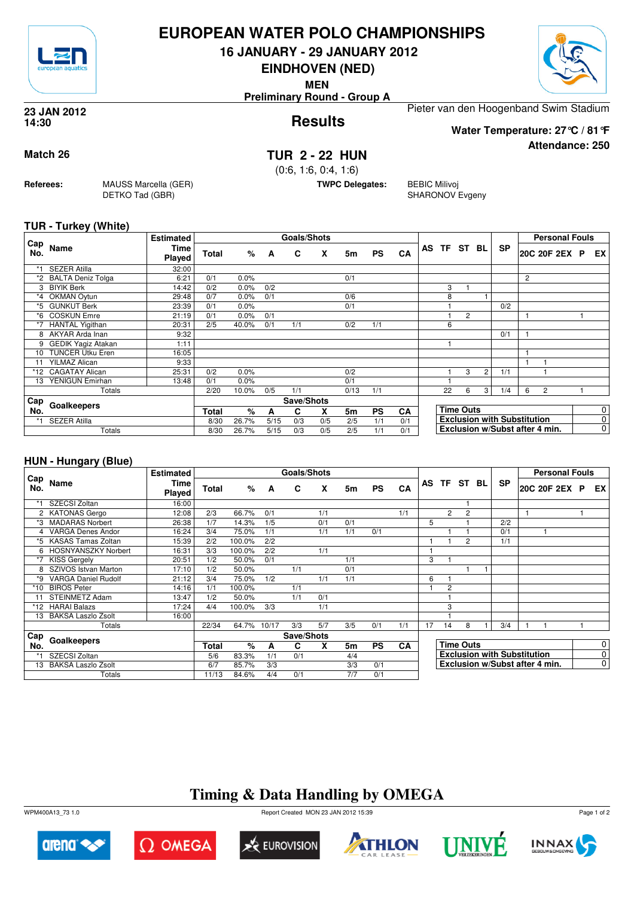

## **EUROPEAN WATER POLO CHAMPIONSHIPS**

**16 JANUARY - 29 JANUARY 2012**

**EINDHOVEN (NED)**

**MEN**

**Preliminary Round - Group A**



**Attendance: 250**

#### **Results 23 JAN 2012 14:30**

Pieter van den Hoogenband Swim Stadium **Water Temperature: 27°C / 81°F**

## **Match 26 TUR 2 - 22 HUN**

(0:6, 1:6, 0:4, 1:6)

**TWPC Delegates:** BEBIC Milivoj

SHARONOV Evgeny

### **TUR - Turkey (White)**

**Referees:** MAUSS Marcella (GER)

DETKO Tad (GBR)

|            |                           | <b>Estimated</b> |       |       |      | <b>Goals/Shots</b> |     |           |           |     |                  |                |                |                                    |   | <b>Personal Fouls</b> |                |
|------------|---------------------------|------------------|-------|-------|------|--------------------|-----|-----------|-----------|-----|------------------|----------------|----------------|------------------------------------|---|-----------------------|----------------|
| Cap<br>No. | Name                      | Time<br>Played   | Total | %     | A    | C                  | X   | 5m        | <b>PS</b> | CA  | AS TF ST BL      |                |                | <b>SP</b>                          |   | 20C 20F 2EX P         | EX             |
|            | <b>SEZER Atilla</b>       | 32:00            |       |       |      |                    |     |           |           |     |                  |                |                |                                    |   |                       |                |
| *2         | <b>BALTA Deniz Tolga</b>  | 6:21             | 0/1   | 0.0%  |      |                    |     | 0/1       |           |     |                  |                |                |                                    | 2 |                       |                |
| 3          | <b>BIYIK Berk</b>         | 14:42            | 0/2   | 0.0%  | 0/2  |                    |     |           |           |     | 3                |                |                |                                    |   |                       |                |
| *4         | <b>OKMAN Oytun</b>        | 29:48            | 0/7   | 0.0%  | 0/1  |                    |     | 0/6       |           |     | 8                |                |                |                                    |   |                       |                |
| *5         | <b>GUNKUT Berk</b>        | 23:39            | 0/1   | 0.0%  |      |                    |     | 0/1       |           |     |                  |                |                | 0/2                                |   |                       |                |
| *6         | <b>COSKUN Emre</b>        | 21:19            | 0/1   | 0.0%  | 0/1  |                    |     |           |           |     |                  | $\overline{2}$ |                |                                    |   |                       |                |
| *7         | HANTAL Yigithan           | 20:31            | 2/5   | 40.0% | 0/1  | 1/1                |     | 0/2       | 1/1       |     | 6                |                |                |                                    |   |                       |                |
| 8          | AKYAR Arda Inan           | 9:32             |       |       |      |                    |     |           |           |     |                  |                |                | 0/1                                |   |                       |                |
| 9          | <b>GEDIK Yagiz Atakan</b> | 1:11             |       |       |      |                    |     |           |           |     |                  |                |                |                                    |   |                       |                |
| 10         | <b>TUNCER Utku Eren</b>   | 16:05            |       |       |      |                    |     |           |           |     |                  |                |                |                                    |   |                       |                |
| 11         | <b>YILMAZ Alican</b>      | 9:33             |       |       |      |                    |     |           |           |     |                  |                |                |                                    |   |                       |                |
| *12        | <b>CAGATAY Alican</b>     | 25:31            | 0/2   | 0.0%  |      |                    |     | 0/2       |           |     |                  | 3              | $\overline{2}$ | 1/1                                |   |                       |                |
| 13         | YENIGUN Emirhan           | 13:48            | 0/1   | 0.0%  |      |                    |     | 0/1       |           |     |                  |                |                |                                    |   |                       |                |
|            | Totals                    |                  | 2/20  | 10.0% | 0/5  | 1/1                |     | 0/13      | 1/1       |     | 22               | 6              | 3              | 1/4                                | 6 | $\overline{c}$        |                |
| Cap        | Goalkeepers               |                  |       |       |      | Save/Shots         |     |           |           |     |                  |                |                |                                    |   |                       |                |
| No.        |                           | <b>Total</b>     | ℅     | A     | C    | X                  | 5m  | <b>PS</b> | <b>CA</b> |     | <b>Time Outs</b> |                |                | $\mathbf 0$                        |   |                       |                |
| $*1$       | <b>SEZER Atilla</b>       |                  | 8/30  | 26.7% | 5/15 | 0/3                | 0/5 | 2/5       | 1/1       | 0/1 |                  |                |                | <b>Exclusion with Substitution</b> |   |                       | $\overline{0}$ |
|            | Totals                    |                  | 8/30  | 26.7% | 5/15 | 0/3                | 0/5 | 2/5       | 1/1       | 0/1 |                  |                |                | Exclusion w/Subst after 4 min.     |   |                       | $\mathbf 0$    |

### **HUN - Hungary (Blue)**

|            |                            | <b>Estimated</b>      |       |        |       | <b>Goals/Shots</b> |     |           |           |     |                       |                |          |  |                                    |  | <b>Personal Fouls</b>          |  |             |
|------------|----------------------------|-----------------------|-------|--------|-------|--------------------|-----|-----------|-----------|-----|-----------------------|----------------|----------|--|------------------------------------|--|--------------------------------|--|-------------|
| Cap<br>No. | Name                       | Time<br><b>Played</b> | Total | $\%$   | A     | C                  | X   | 5m        | <b>PS</b> | CA  | AS                    |                | TF ST BL |  | <b>SP</b>                          |  | 20C 20F 2EX P EX               |  |             |
|            | SZECSI Zoltan              | 16:00                 |       |        |       |                    |     |           |           |     |                       |                |          |  |                                    |  |                                |  |             |
|            | 2 KATONAS Gergo            | 12:08                 | 2/3   | 66.7%  | 0/1   |                    | 1/1 |           |           | 1/1 |                       | $\overline{2}$ | 2        |  |                                    |  |                                |  |             |
| *3         | <b>MADARAS Norbert</b>     | 26:38                 | 1/7   | 14.3%  | 1/5   |                    | 0/1 | 0/1       |           |     | 5                     |                |          |  | 2/2                                |  |                                |  |             |
| 4          | <b>VARGA Denes Andor</b>   | 16:24                 | 3/4   | 75.0%  | 1/1   |                    | 1/1 | 1/1       | 0/1       |     |                       |                |          |  | 0/1                                |  |                                |  |             |
| *5         | <b>KASAS Tamas Zoltan</b>  | 15:39                 | 2/2   | 100.0% | 2/2   |                    |     |           |           |     |                       |                | 2        |  | 1/1                                |  |                                |  |             |
| 6          | <b>HOSNYANSZKY Norbert</b> | 16:31                 | 3/3   | 100.0% | 2/2   |                    | 1/1 |           |           |     |                       |                |          |  |                                    |  |                                |  |             |
|            | <b>KISS Gergely</b>        | 20:51                 | 1/2   | 50.0%  | 0/1   |                    |     | 1/1       |           |     | 3                     |                |          |  |                                    |  |                                |  |             |
|            | SZIVOS Istvan Marton       | 17:10                 | 1/2   | 50.0%  |       | 1/1                |     | 0/1       |           |     |                       |                |          |  |                                    |  |                                |  |             |
| *9         | <b>VARGA Daniel Rudolf</b> | 21:12                 | 3/4   | 75.0%  | 1/2   |                    | 1/1 | 1/1       |           |     | 6                     |                |          |  |                                    |  |                                |  |             |
| $*10$      | <b>BIROS Peter</b>         | 14:16                 | 1/1   | 100.0% |       | 1/1                |     |           |           |     |                       | 2              |          |  |                                    |  |                                |  |             |
|            | <b>STEINMETZ Adam</b>      | 13:47                 | 1/2   | 50.0%  |       | 1/1                | 0/1 |           |           |     |                       |                |          |  |                                    |  |                                |  |             |
|            | *12 HARAI Balazs           | 17:24                 | 4/4   | 100.0% | 3/3   |                    | 1/1 |           |           |     |                       | 3              |          |  |                                    |  |                                |  |             |
| 13         | <b>BAKSA Laszlo Zsolt</b>  | 16:00                 |       |        |       |                    |     |           |           |     |                       |                |          |  |                                    |  |                                |  |             |
|            | Totals                     |                       | 22/34 | 64.7%  | 10/17 | 3/3                | 5/7 | 3/5       | 0/1       | 1/1 | 17                    | 14             | 8        |  | 3/4                                |  |                                |  |             |
| Cap        |                            |                       |       |        |       | Save/Shots         |     |           |           |     |                       |                |          |  |                                    |  |                                |  |             |
| No.        | Goalkeepers                | <b>Total</b>          | %     | A      | C     | X                  | 5m  | <b>PS</b> | <b>CA</b> |     | <b>Time Outs</b><br>0 |                |          |  |                                    |  |                                |  |             |
|            | SZECSI Zoltan              |                       | 5/6   | 83.3%  | 1/1   | 0/1                |     | 4/4       |           |     |                       |                |          |  | <b>Exclusion with Substitution</b> |  |                                |  | $\mathbf 0$ |
| 13         | <b>BAKSA Laszlo Zsolt</b>  |                       | 6/7   | 85.7%  | 3/3   |                    |     | 3/3       | 0/1       |     |                       |                |          |  |                                    |  | Exclusion w/Subst after 4 min. |  | $\mathbf 0$ |
|            | Totals                     |                       | 11/13 | 84.6%  | 4/4   | 0/1                |     | 7/7       | 0/1       |     |                       |                |          |  |                                    |  |                                |  |             |

# **Timing & Data Handling by OMEGA**

WPM400A13\_73 1.0 Report Created MON 23 JAN 2012 15:39

arena<sup><</sup>











Page 1 of 2